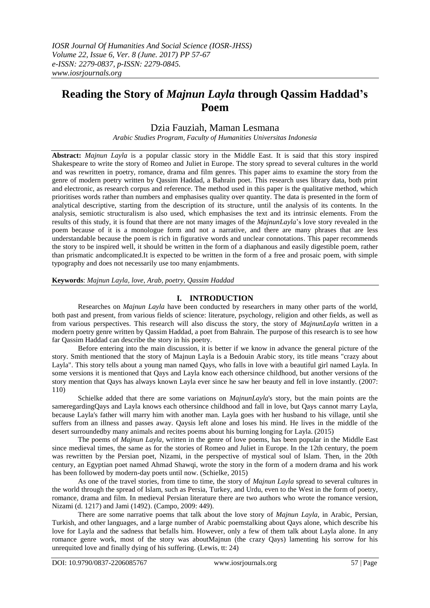# **Reading the Story of** *Majnun Layla* **through Qassim Haddad's Poem**

## Dzia Fauziah, Maman Lesmana

*Arabic Studies Program, Faculty of Humanities Universitas Indonesia*

**Abstract:** *Majnun Layla* is a popular classic story in the Middle East. It is said that this story inspired Shakespeare to write the story of Romeo and Juliet in Europe. The story spread to several cultures in the world and was rewritten in poetry, romance, drama and film genres. This paper aims to examine the story from the genre of modern poetry written by Qassim Haddad, a Bahrain poet. This research uses library data, both print and electronic, as research corpus and reference. The method used in this paper is the qualitative method, which prioritises words rather than numbers and emphasises quality over quantity. The data is presented in the form of analytical descriptive, starting from the description of its structure, until the analysis of its contents. In the analysis, semiotic structuralism is also used, which emphasises the text and its intrinsic elements. From the results of this study, it is found that there are not many images of the *MajnunLayla*'s love story revealed in the poem because of it is a monologue form and not a narrative, and there are many phrases that are less understandable because the poem is rich in figurative words and unclear connotations. This paper recommends the story to be inspired well, it should be written in the form of a diaphanous and easily digestible poem, rather than prismatic andcomplicated.It is expected to be written in the form of a free and prosaic poem, with simple typography and does not necessarily use too many enjambments.

#### **Keywords**: *Majnun Layla, love, Arab, poetry, Qassim Haddad*

### **I. INTRODUCTION**

Researches on *Majnun Layla* have been conducted by researchers in many other parts of the world, both past and present, from various fields of science: literature, psychology, religion and other fields, as well as from various perspectives. This research will also discuss the story, the story of *MajnunLayla* written in a modern poetry genre written by Qassim Haddad, a poet from Bahrain. The purpose of this research is to see how far Qassim Haddad can describe the story in his poetry.

Before entering into the main discussion, it is better if we know in advance the general picture of the story. Smith mentioned that the story of Majnun Layla is a Bedouin Arabic story, its title means "crazy about Layla". This story tells about a young man named Qays, who falls in love with a beautiful girl named Layla. In some versions it is mentioned that Qays and Layla know each othersince childhood, but another versions of the story mention that Qays has always known Layla ever since he saw her beauty and fell in love instantly. (2007: 110)

Schielke added that there are some variations on *MajnunLayla*'s story, but the main points are the sameregardingQays and Layla knows each othersince childhood and fall in love, but Qays cannot marry Layla, because Layla's father will marry him with another man. Layla goes with her husband to his village, until she suffers from an illness and passes away. Qaysis left alone and loses his mind. He lives in the middle of the desert surroundedby many animals and recites poems about his burning longing for Layla. (2015)

The poems of *Majnun Layla*, written in the genre of love poems, has been popular in the Middle East since medieval times, the same as for the stories of Romeo and Juliet in Europe. In the 12th century, the poem was rewritten by the Persian poet, Nizami, in the perspective of mystical soul of Islam. Then, in the 20th century, an Egyptian poet named Ahmad Shawqi, wrote the story in the form of a modern drama and his work has been followed by modern-day poets until now. (Schielke, 2015)

As one of the travel stories, from time to time, the story of *Majnun Layla* spread to several cultures in the world through the spread of Islam, such as Persia, Turkey, and Urdu, even to the West in the form of poetry, romance, drama and film. In medieval Persian literature there are two authors who wrote the romance version, Nizami (d. 1217) and Jami (1492). (Campo, 2009: 449).

There are some narrative poems that talk about the love story of *Majnun Layla*, in Arabic, Persian, Turkish, and other languages, and a large number of Arabic poemstalking about Qays alone, which describe his love for Layla and the sadness that befalls him. However, only a few of them talk about Layla alone. In any romance genre work, most of the story was aboutMajnun (the crazy Qays) lamenting his sorrow for his unrequited love and finally dying of his suffering. (Lewis, tt: 24)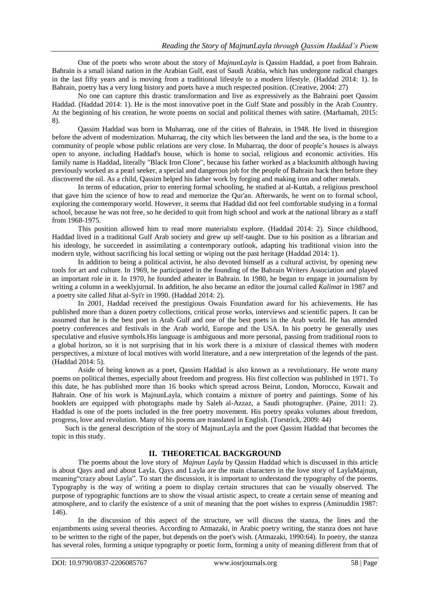One of the poets who wrote about the story of *MajnunLayla* is Qassim Haddad, a poet from Bahrain. Bahrain is a small island nation in the Arabian Gulf, east of Saudi Arabia, which has undergone radical changes in the last fifty years and is moving from a traditional lifestyle to a modern lifestyle. (Haddad 2014: 1). In Bahrain, poetry has a very long history and poets have a much respected position. (Creative, 2004: 27)

No one can capture this drastic transformation and live as expressively as the Bahraini poet Qassim Haddad. (Haddad 2014: 1). He is the most innovative poet in the Gulf State and possibly in the Arab Country. At the beginning of his creation, he wrote poems on social and political themes with satire. (Marhamah, 2015: 8).

Qassim Haddad was born in Muharraq, one of the cities of Bahrain, in 1948. He lived in thisregion before the advent of modernization. Muharraq, the city which lies between the land and the sea, is the home to a community of people whose public relations are very close. In Muharraq, the door of people's houses is always open to anyone, including Haddad's house, which is home to social, religious and economic activities. His family name is Haddad, literally "Black Iron Clone", because his father worked as a blacksmith although having previously worked as a pearl seeker, a special and dangerous job for the people of Bahrain back then before they discovered the oil. As a child, Qassim helped his father work by forging and making iron and other metals.

In terms of education, prior to entering formal schooling, he studied at al-Kuttab, a religious preschool that gave him the science of how to read and memorize the Qur'an. Afterwards, he went on to formal school, exploring the contemporary world. However, it seems that Haddad did not feel comfortable studying in a formal school, because he was not free, so he decided to quit from high school and work at the national library as a staff from 1968-1975.

This position allowed him to read more materialsto explore. (Haddad 2014: 2). Since childhood, Haddad lived in a traditional Gulf Arab society and grew up self-taught. Due to his position as a librarian and his ideology, he succeeded in assimilating a contemporary outlook, adapting his traditional vision into the modern style, without sacrificing his local setting or wiping out the past heritage (Haddad 2014: 1).

In addition to being a political activist, he also devoted himself as a cultural activist, by opening new tools for art and culture. In 1969, he participated in the founding of the Bahrain Writers Association and played an important role in it. In 1970, he founded atheater in Bahrain. In 1980, he began to engage in journalism by writing a column in a weeklyjurnal. In addition, he also became an editor the journal called *Kalimat* in 1987 and a poetry site called Jihat al-Syi'r in 1990. (Haddad 2014: 2).

In 2001, Haddad received the prestigious Owais Foundation award for his achievements. He has published more than a dozen poetry collections, critical prose works, interviews and scientific papers. It can be assumed that he is the best poet in Arab Gulf and one of the best poets in the Arab world. He has attended poetry conferences and festivals in the Arab world, Europe and the USA. In his poetry he generally uses speculative and elusive symbols.His language is ambiguous and more personal, passing from traditional roots to a global horizon, so it is not surprising that in his work there is a mixture of classical themes with modern perspectives, a mixture of local motives with world literature, and a new interpretation of the legends of the past. (Haddad 2014: 5).

Aside of being known as a poet, Qassim Haddad is also known as a revolutionary. He wrote many poems on political themes, especially about freedom and progress. His first collection was published in 1971. To this date, he has published more than 16 books which spread across Beirut, London, Morocco, Kuwait and Bahrain. One of his work is MajnunLayla, which contains a mixture of poetry and paintings. Some of his booklets are equipped with photographs made by Saleh al-Azzaz, a Saudi photographer. (Paine, 2011: 2). Haddad is one of the poets included in the free poetry movement. His poetry speaks volumes about freedom, progress, love and revolution. Many of his poems are translated in English. (Torstrick, 2009: 44)

Such is the general description of the story of MajnunLayla and the poet Qassim Haddad that becomes the topic in this study.

## **II. THEORETICAL BACKGROUND**

The poems about the love story of *Majnun Layla* by Qassim Haddad which is discussed in this article is about Qays and and about Layla. Qays and Layla are the main characters in the love story of LaylaMajnun, meaning"crazy about Layla". To start the discussion, it is important to understand the typography of the poems. Typography is the way of writing a poem to display certain structures that can be visually observed. The purpose of typographic functions are to show the visual artistic aspect, to create a certain sense of meaning and atmosphere, and to clarify the existence of a unit of meaning that the poet wishes to express (Aminuddin 1987: 146).

In the discussion of this aspect of the structure, we will discuss the stanza, the lines and the enjambments using several theories. According to Atmazaki, in Arabic poetry writing, the stanza does not have to be written to the right of the paper, but depends on the poet's wish. (Atmazaki, 1990:64). In poetry, the stanza has several roles, forming a unique typography or poetic form, forming a unity of meaning different from that of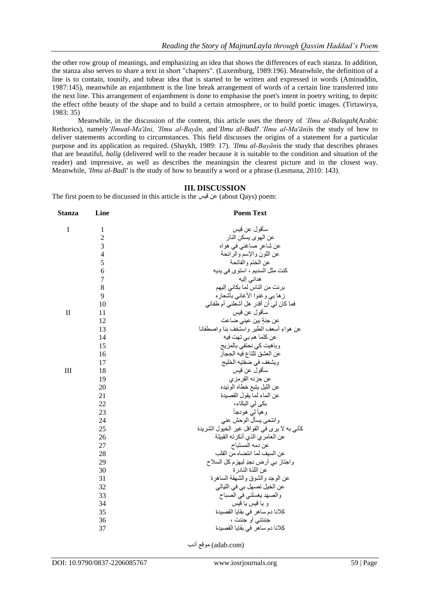the other row group of meanings, and emphasizing an idea that shows the differences of each stanza. In addition, the stanza also serves to share a text in short "chapters". (Luxemburg, 1989:196). Meanwhile, the definition of a line is to contain, tounify, and tobear idea that is started to be written and expressed in words (Aminuddin, 1987:145), meanwhile an enjambment is the line break arrangement of words of a certain line transferred into the next line. This arrangement of enjambment is done to emphasise the poet's intent in poetry writing, to depitc the effect ofthe beauty of the shape and to build a certain atmosphere, or to build poetic images. (Tirtawirya, 1983: 35)

Meanwhile, in the discussion of the content, this article uses the theory of *'Ilmu al-Balagah*(Arabic Rethorics), namely*'Ilmual-Ma'āni, 'Ilmu al-Bayān,* and*'Ilmu al-Badῑ*'.*'Ilmu al-Ma'āni*is the study of how to deliver statements according to circumstances. This field discusses the origins of a statement for a particular purpose and its application as required. (Shaykh, 1989: 17). *'Ilmu al-Bayān*is the study that describes phrases that are beautiful, *balῑg* (delivered well to the reader because it is suitable to the condition and situation of the reader) and impressive, as well as describes the meaningsin the clearest picture and in the closest way. Meanwhile, *'Ilmu al-Badī'* is the study of how to beautify a word or a phrase (Lesmana, 2010: 143).

### **III. DISCUSSION**

The first poem to be discussed in this article is the كن فيس about Qays) poem:

| Stanza       | Line           | <b>Poem Text</b>                             |
|--------------|----------------|----------------------------------------------|
| I            | $\mathbf{1}$   | سأقول عن قيس                                 |
|              | $\overline{c}$ | عن الموى يسكن النار                          |
|              | $\overline{3}$ | عن شاعر صاغني في هواه                        |
|              | $\overline{4}$ | عن اللون والإسم والرائحة                     |
|              | 5              | عن الختم والفاتحة                            |
|              | 6              | كنت مثل السديم ، استوى في يديه               |
|              | $\overline{7}$ | هداني إليه                                   |
|              | 8              | برئت من الناس لما بكاني إليهم                |
|              | 9              | ز ها بي و غنوا الأغاني بأشعار ه              |
|              | 10             | فما كان لي أن أقدر هل أشعلني أم طفاني        |
| $\mathbf{I}$ | 11             | سأقول عن قيس                                 |
|              | 12             | عن جنةٍ بين عيني ضاعت                        |
|              | 13             | عن هواءٍ أسعف الطير واستخف بنا واصطفانا      |
|              | 14             | عن كلما هم بي تهت فيه                        |
|              | 15             | وباهيت كي نحتفي بالمزيج                      |
|              | 16             | عن العشق تلتاع فيه الحجاز                    |
|              | 17             | ويشغف في ضفتيه الخليج                        |
| III          | 18             | سأقولٌ عن قيس                                |
|              | 19             | عن حزنه القرمزي                              |
|              | 20             | عن الليل يتبع خطاه الوئيده                   |
|              | 21             | عن الماء لما يقول القصيدة                    |
|              | 22             | بکی لی البکاء،                               |
|              | 23             | وهيألى هودجأ                                 |
|              | 24             | وانتحى يسأل الوحش عنى                        |
|              | 25             | كأني به لا يرى في القوافل غير الخيول الشريدة |
|              | 26             | عن العامري الذي أنكرته القبيلة               |
|              | 27             | عن دمه المستباح                              |
|              | 28             | عن السيف لما انتضاه من القلب                 |
|              | 29             | واجتاز بي أرض نجدٍ ليهزم كل السلاح           |
|              | 30             | عن اللذة النادر ة                            |
|              | 31             | عن الوجد والشوق والشهقة الساهرة              |
|              | 32             | عن الخيل تصهل بي في الليالي                  |
|              | 33             | والصهد يغسلني في الصباح                      |
|              | 34             | و يا قيس يا قيس                              |
|              | 35             | كلانا دم ساهر في بقايا القصيدة               |
|              | 36             | جننتني أو جننت ،                             |
|              | 37             | كلانا دم ساهر في بقايا القصيدة               |
|              |                |                                              |

(com.adab (موقع أدب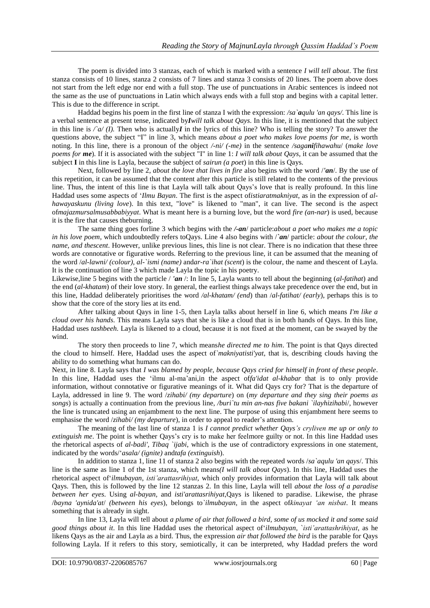The poem is divided into 3 stanzas, each of which is marked with a sentence *I will tell about*. The first stanza consists of 10 lines, stanza 2 consists of 7 lines and stanza 3 consists of 20 lines. The poem above does not start from the left edge nor end with a full stop. The use of punctuations in Arabic sentences is indeed not the same as the use of punctuations in Latin which always ends with a full stop and begins with a capital letter. This is due to the difference in script.

Haddad begins his poem in the first line of stanza I with the expression: */sa`aqulu 'an qays/*. This line is a verbal sentence at present tense, indicated by*Iwill talk about Qays*. In this line, it is mentioned that the subject in this line is  $\sqrt{a'}(I)$ . Then who is actually*I* in the lyrics of this line? Who is telling the story? To answer the questions above, the subject "I" in line 3, which means *about a poet who makes love poems for me,* is worth noting. In this line, there is a pronoun of the object */-ni/ (-me)* in the sentence */saganifihawahu*/ (*make love poems for me*). If it is associated with the subject "I" in line 1: *I will talk about Qays*, it can be assumed that the subject **I** in this line is Layla, because the subject of *sairun (a poet*) in this line is Qays.

Next, followed by line 2, *about the love that lives in fire* also begins with the word /*'an*/. By the use of this repetition, it can be assumed that the content after this particle is still related to the contents of the previous line. Thus, the intent of this line is that Layla will talk about Qays's love that is really profound. In this line Haddad uses some aspects of '*Ilmu Bayan*. The first is the aspect of*istiaratmakniyat*, as in the expression of *alhawayaskunu (living love*). In this text, "love" is likened to "man", it can live. The second is the aspect of*majazmursalmusabbabiyyat*. What is meant here is a burning love, but the word *fire (an-nar*) is used, because it is the fire that causes theburning.

The same thing goes forline 3 which begins with the */-an*/ particle:*about a poet who makes me a topic in his love poem*, which undoubtedly refers toQays. Line 4 also begins with /*`an*/ particle: *about the colour, the name, and thescent*. However, unlike previous lines, this line is not clear. There is no indication that these three words are connotative or figurative words. Referring to the previous line, it can be assumed that the meaning of the word /*al-lawni/ (colour), al-`ismi (name)* and*ar-ra`ihat (scent*) is the colour, the name and thescent of Layla. It is the continuation of line 3 which made Layla the topic in his poetry.

Likewise,line 5 begins with the particle / *'an* /: In line 5, Layla wants to tell about the beginning (*al-fatihat*) and the end (*al-khatam*) of their love story. In general, the earliest things always take precedence over the end, but in this line, Haddad deliberately prioritises the word */al-khatam/ (end*) than /*al-fatihat/ (early*), perhaps this is to show that the core of the story lies at its end.

After talking about Qays in line 1-5, then Layla talks about herself in line 6, which means *I'm like a cloud over his hands*. This means Layla says that she is like a cloud that is in both hands of Qays. In this line, Haddad uses *tashbeeh*. Layla is likened to a cloud, because it is not fixed at the moment, can be swayed by the wind.

The story then proceeds to line 7, which means*he directed me to him*. The point is that Qays directed the cloud to himself. Here, Haddad uses the aspect of*`makniyatisti'yat*, that is, describing clouds having the ability to do something what humans can do.

Next, in line 8. Layla says that *I was blamed by people, because Qays cried for himself in front of these people*. In this line, Haddad uses the 'ilmu al-ma'ani*,*in the aspect of*fa'idat al-khabar* that is to only provide information, without connotative or figurative meanings of it. What did Qays cry for? That is the departure of Layla, addressed in line 9. The word /*zihabi/ (my departure*) on (*my departure and they sing their poems as songs*) is actually a continuation from the previous line, */buri`tu min an-nas five bakani `ilayhizihabi*/, however the line is truncated using an enjambment to the next line. The purpose of using this enjambment here seems to emphasise the word /*zihabi/ (my departure*), in order to appeal to reader's attention.

The meaning of the last line of stanza 1 is *I cannot predict whether Qays's cryliven me up or only to extinguish me*. The point is whether Qays's cry is to make her feelmore guilty or not. In this line Haddad uses the rhetorical aspects of *al-badi', Tibaq `ijabi*, which is the use of contradictory expressions in one statement, indicated by the words/'*asala/ (ignite)* and*tafa (extinguish*).

In addition to stanza 1, line 11 of stanza 2 also begins with the repeated words /*sa`aqulu 'an qays*/. This line is the same as line 1 of the 1st stanza, which means*(I will talk about Qays*). In this line, Haddad uses the rhetorical aspect of'*ilmubayan*, *isti'arattasrihiyat*, which only provides information that Layla will talk about Qays. Then, this is followed by the line 12 stanzas 2. In this line, Layla will tell *about the loss of a paradise between her eyes*. Using *al-bayan,* and *isti'arattasrihiyat*,Qays is likened to paradise. Likewise, the phrase /*bayna 'aynida'at*/ *(between his eyes*), belongs to*`ilmubayan*, in the aspect of*kinayat 'an nisbat*. It means something that is already in sight.

In line 13, Layla will tell about *a plume of air that followed a bird, some of us mocked it and some said good things about it*. In this line Haddad uses the rhetorical aspect of'*ilmubayan,* `*isti'arattashrihiyat*, as he likens Qays as the air and Layla as a bird. Thus, the expression *air that followed the bird* is the parable for Qays following Layla. If it refers to this story, semiotically, it can be interpreted, why Haddad prefers the word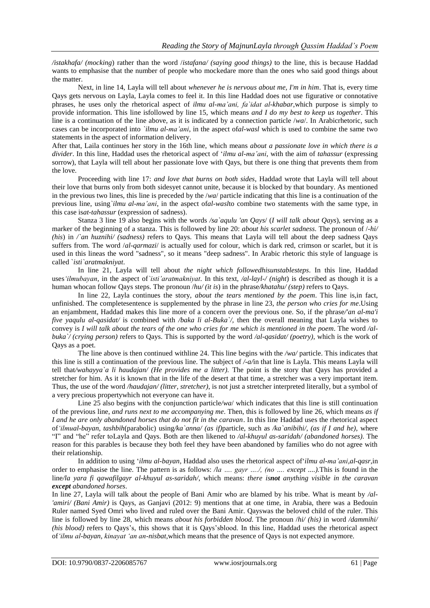*/istakhafa/ (mocking*) rather than the word /*istafana/ (saying good things)* to the line, this is because Haddad wants to emphasise that the number of people who mockedare more than the ones who said good things about the matter.

Next, in line 14, Layla will tell about *whenever he is nervous about me, I'm in him*. That is, every time Qays gets nervous on Layla, Layla comes to feel it. In this line Haddad does not use figurative or connotative phrases, he uses only the rhetorical aspect of *ilmu al-ma'ani, fa`idat al-khabar,*which purpose is simply to provide information. This line isfollowed by line 15, which means *and I do my best to keep us together*. This line is a continuation of the line above, as it is indicated by a connection particle /*wa*/. In Arabicrhetoric, such cases can be incorporated into *`ilmu al-ma'ani*, in the aspect of*al-wasl* which is used to combine the same two statements in the aspect of information delivery.

After that, Laila continues her story in the 16th line, which means *about a passionate love in which there is a divider*. In this line, Haddad uses the rhetorical aspect of '*ilmu al-ma'ani*, with the aim of *tahassur* (expressing sorrow), that Layla will tell about her passionate love with Qays, but there is one thing that prevents them from the love.

Proceeding with line 17: *and love that burns on both sides*, Haddad wrote that Layla will tell about their love that burns only from both sidesyet cannot unite, because it is blocked by that boundary. As mentioned in the previous two lines, this line is preceded by the /*wa*/ particle indicating that this line is a continuation of the previous line, using*`ilmu al-ma'ani*, in the aspect of*al-wasl*to combine two statements with the same type, in this case is*at-tahassur* (expression of sadness).

Stanza 3 line 19 also begins with the words */sa`aqulu 'an Qays*/ (*I will talk about Qays*), serving as a marker of the beginning of a stanza. This is followed by line 20: *about his scarlet sadness*. The pronoun of /*-hi/ (his)* in */`an huznihi/ (sadness)* refers to Qays. This means that Layla will tell about the deep sadness Qays suffers from. The word /*al-qarmazi*/ is actually used for colour, which is dark red, crimson or scarlet, but it is used in this lineas the word "sadness", so it means "deep sadness". In Arabic rhetoric this style of language is called `*isti`aratmakniyat*.

In line 21, Layla will tell about *the night which followedhisunstablesteps*. In this line, Haddad uses*'ilmubayan*, in the aspect of*`isti'aratmakniyat*. In this text, */al-layl-/ (night*) is described as though it is a human whocan follow Qays steps. The pronoun /*hu/ (it is*) in the phrase*/khatahu/ (step)* refers to Qays.

In line 22, Layla continues the story, *about the tears mentioned by the poem*. This line is,in fact, unfinished. The completesentence is supplemented by the phrase in line 23, *the person who cries for me*.Using an enjambment, Haddad makes this line more of a concern over the previous one. So, if the phrase*/'an al-ma'i five yaqulu al-qasidat/* is combined with */baka li al-Buka`/,* then the overall meaning that Layla wishes to convey is *I will talk about the tears of the one who cries for me which is mentioned in the poem*. The word */albuka`/ (crying person)* refers to Qays. This is supported by the word */al-qasidat/ (poetry),* which is the work of Qays as a poet.

The line above is then continued withline 24. This line begins with the */wa/* particle. This indicates that this line is still a continuation of the previous line. The subject of */-a/*in that line is Layla. This means Layla will tell that*/wahayya`a li haudajan/ (He provides me a litter).* The point is the story that Qays has provided a stretcher for him. As it is known that in the life of the desert at that time, a stretcher was a very important item. Thus, the use of the word */haudajan/ (litter, stretcher)*, is not just a stretcher interpreted literally, but a symbol of a very precious propertywhich not everyone can have it.

Line 25 also begins with the conjunction particle*/wa*/ which indicates that this line is still continuation of the previous line, *and runs next to me accompanying me*. Then, this is followed by line 26, which means *as if I and he are only abandoned horses that do not fit in the caravan*. In this line Haddad uses the rhetorical aspect of*'ilmual-bayan, tashbih*(parabolic) using*/ka`anna/ (as if)*particle, such as */ka`anibihi/, (as if I and he)*, where "I" and "he" refer toLayla and Qays. Both are then likened to */al-khuyul as-saridah/ (abandoned horses)*. The reason for this parables is because they both feel they have been abandoned by families who do not agree with their relationship.

In addition to using '*ilmu al-bayan*, Haddad also uses the rhetorical aspect of'*ilmu al-ma'ani,al-qasr*,in order to emphasise the line. The pattern is as follows: */la …. gayr …./, (no …. except ....).*This is found in the line*/la yara fi qawafilgayr al-khuyul as-saridah/*, which means: *there isnot anything visible in the caravan except abandoned horses*.

In line 27, Layla will talk about the people of Bani Amir who are blamed by his tribe. What is meant by */al- 'amiri/ (Bani Amir)* is Qays, as Ganjavi (2012: 9) mentions that at one time, in Arabia, there was a Bedouin Ruler named Syed Omri who lived and ruled over the Bani Amir. Qayswas the beloved child of the ruler. This line is followed by line 28, which means *about his forbidden blood*. The pronoun /*hi/ (his)* in word */dammihi/ (his blood)* refers to Qays's, this shows that it is Qays'sblood. In this line, Haddad uses the rhetorical aspect of*'ilmu al-bayan*, *kinayat 'an an-nisbat*,which means that the presence of Qays is not expected anymore.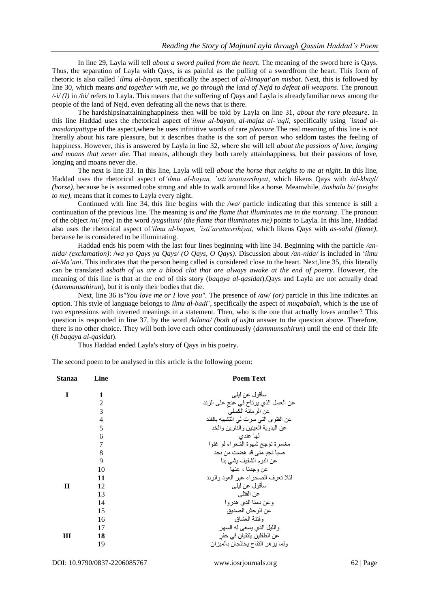In line 29, Layla will tell *about a sword pulled from the heart*. The meaning of the sword here is Qays. Thus, the separation of Layla with Qays, is as painful as the pulling of a swordfrom the heart. This form of rhetoric is also called `*ilmu al-bayan*, specifically the aspect of *al-kinayat*'*an misbat*. Next, this is followed by line 30, which means *and together with me, we go through the land of Nejd to defeat all weapons*. The pronoun */-i/ (I)* in */bi/* refers to Layla. This means that the suffering of Qays and Layla is alreadyfamiliar news among the people of the land of Nejd, even defeating all the news that is there.

The hardshipsinattaininghappiness then will be told by Layla on line 31, *about the rare pleasure*. In this line Haddad uses the rhetorical aspect of*'ilmu al-bayan*, *al-majaz al-'aqli*, specifically using *`isnad almasdariyat*type of the aspect,where he uses infinitive words of rare *pleasure*.The real meaning of this line is not literally about his rare pleasure, but it describes thathe is the sort of person who seldom tastes the feeling of happiness. However, this is answered by Layla in line 32, where she will tell *about the passions of love, longing and moans that never die*. That means, although they both rarely attainhappiness, but their passions of love, longing and moans never die.

The next is line 33. In this line, Layla will tell *about the horse that neighs to me at night*. In this line, Haddad uses the rhetorical aspect of*'ilmu al-bayan, `isti'arattasrihiyat*, which likens Qays with */al-khayl/ (horse)*, because he is assumed tobe strong and able to walk around like a horse. Meanwhile, */tashalu bi/ (neighs to me)*, means that it comes to Layla every night.

Continued with line 34, this line begins with the */wa/* particle indicating that this sentence is still a continuation of the previous line. The meaning is *and the flame that illuminates me in the morning*. The pronoun of the object */ni/ (me)* in the word */yugsiluni/ (the flame that illuminates me)* points to Layla. In this line, Haddad also uses the rhetorical aspect of*'ilmu al-bayan, `isti'arattasrihiyat*, which likens Qays with *as-sahd (flame)*, because he is considered to be illuminating.

Haddad ends his poem with the last four lines beginning with line 34. Beginning with the particle */annida/ (exclamation)*: */wa ya Qays ya Qays/ (O Qays, O Qays)*. Discussion about */an-nida/* is included in '*ilmu al-Ma'ani*. This indicates that the person being called is considered close to the heart. Next,line 35, this literally can be translated as*both of us are a blood clot that are always awake at the end of poetry*. However, the meaning of this line is that at the end of this story (*baqaya al-qasidat*),Qays and Layla are not actually dead (*dammunsahirun*), but it is only their bodies that die.

Next, line 36 is*"You love me or I love you".* The presence of */aw/ (or)* particle in this line indicates an option. This style of language belongs to *ilmu al-badi'*, specifically the aspect of *muqabalah*, which is the use of two expressions with inverted meanings in a statement. Then, who is the one that actually loves another? This question is responded in line 37, by the word */kilana/ (both of us)*to answer to the question above. Therefore, there is no other choice. They will both love each other continuously (*dammunsahirun*) until the end of their life (*fi baqaya al-qasidat*).

Thus Haddad ended Layla's story of Qays in his poetry.

The second poem to be analysed in this article is the following poem:

| Line           | <b>Poem Text</b>                     |
|----------------|--------------------------------------|
| 1              | سأقول عن ليلبي                       |
| $\overline{2}$ | عن العسل الذي يرتاح في غنج على الزند |
| 3              | عن الرمانة الكسلي                    |
| $\overline{4}$ | عن الفتوى التي سرت لي التشبيه بالقند |
| 5              | عن البدوية العينين والذارين والخد    |
| 6              | لمها عندي                            |
| 7              | مغامرة تؤجج شهوة الشعراء لو غنوا     |
| 8              | صبا نجدِ مٿي قد هضت من نجد           |
| 9              | عن النوم الشفيف يشي بنا              |
| 10             | عن وجدنا ، عنها                      |
| 11             | لئلا تعرف الصحراء غير العود والرند   |
| 12             | سأقول عن ليلبي                       |
| 13             | عن القتلي                            |
| 14             | وعن دمنا الذي هدروا                  |
| 15             | عن الوحش الصديق                      |
| 16             | وفقنة العشاق                         |
| 17             | والليل الذي يسعى له السهر            |
| 18             | عن الطفلين يلتقيان في خفر            |
| 19             | ولما يزهر التفاح يختلجان بالميزان    |
|                |                                      |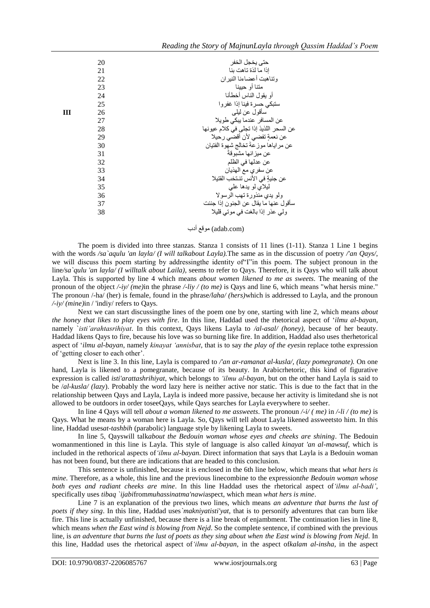|   | 20 | حتى يخجل الخفر                          |
|---|----|-----------------------------------------|
|   | 21 | إذا ما لذة تاهت بنا                     |
|   | 22 | وتناهبت أعضاءنا النير ان                |
|   | 23 | متنا أو حيينا                           |
|   | 24 | أو يقول الناس أخطأنا                    |
|   | 25 | ستبكى حسرة فينا إذا غفروا               |
| ш | 26 | سأقول عن ليلي                           |
|   | 27 | عن المسافر عندما يبكي طويلا             |
|   | 28 | عن السحر اللذيذ إذا تجلى في كلام عيونها |
|   | 29 | عن نعمةٍ تفضي لأن أقضي رحيلا            |
|   | 30 | عن مراياها موزعةً تخالج شهوة الفتيان    |
|   | 31 | عن ميزانها مشبوقةً                      |
|   | 32 | عن عدلها في الظلم                       |
|   | 33 | عن سفري مع الهذيان                      |
|   | 34 | عن جنيةٍ في الأنس تنـتخب القتيلا        |
|   | 35 | ليلاي لو يدها على                       |
|   | 36 | ولو يدي منذورة تهب الرسولا              |
|   | 37 | سأقول عنها ما يقال عن الجنون إذا جننت   |
|   | 38 | ولى عذر إذا بالغت في موتى قليلا         |
|   |    |                                         |

(com.adab (موقع أدب

The poem is divided into three stanzas. Stanza 1 consists of 11 lines (1-11). Stanza 1 Line 1 begins with the words */sa`aqulu 'an layla/ (I will talkabout Layla).*The same as in the discussion of poetry */'an Qays/*, we will discuss this poem starting by addressingthe identity of"I"in this poem. The subject pronoun in the line*/sa`qulu 'an layla/ (I willtalk about Laila)*, seems to refer to Qays. Therefore, it is Qays who will talk about Layla. This is supported by line 4 which means *about women likened to me as sweets*. The meaning of the pronoun of the object */-iy/ (me)*in the phrase */-liy / (to me)* is Qays and line 6, which means "what hersis mine." The pronoun /-ha/ (her) is female, found in the phrase*/laha/ (hers)*which is addressed to Layla, and the pronoun */-iy/ (mine)*in / 'indiy/ refers to Qays.

Next we can start discussingthe lines of the poem one by one, starting with line 2, which means *about the honey that likes to play eyes with fire*. In this line, Haddad used the rhetorical aspect of '*ilmu al-bayan*, namely `*isti'arahtasrihiyat*. In this context, Qays likens Layla to */al-asal/ (honey),* because of her beauty. Haddad likens Qays to fire, because his love was so burning like fire. In addition, Haddad also uses therhetorical aspect of '*ilmu al-bayan*, namely *kinayat 'annisbat*, that is to say *the play of the eyes*in replace tothe expression of 'getting closer to each other'.

Next is line 3. In this line, Layla is compared to */'an ar-ramanat al-kusla/, (lazy pomegranate).* On one hand, Layla is likened to a pomegranate, because of its beauty. In Arabicrhetoric, this kind of figurative expression is called *isti'arattashrihiyat*, which belongs to *'ilmu al-bayan*, but on the other hand Layla is said to be /*al-kusla/ (lazy*). Probably the word lazy here is neither active nor static. This is due to the fact that in the relationship between Qays and Layla, Layla is indeed more passive, because her activity is limitedand she is not allowed to be outdoors in order toseeQays, while Qays searches for Layla everywhere to seeher.

In line 4 Qays will tell *about a woman likened to me assweets*. The pronoun */-i/ ( me)* in */-li / (to me)* is Qays. What he means by a woman here is Layla. So, Qays will tell about Layla likened assweetsto him. In this line, Haddad uses*at-tashbih* (parabolic) language style by likening Layla to sweets.

In line 5, Qayswill talk*about the Bedouin woman whose eyes and cheeks are shining*. The Bedouin womanmentioned in this line is Layla. This style of language is also called *kinayat 'an al-mawsuf*, which is included in the rethorical aspects of*'ilmu al-bayan*. Direct information that says that Layla is a Bedouin woman has not been found, but there are indications that are headed to this conclusion.

This sentence is unfinished, because it is enclosed in the 6th line below, which means that *what hers is mine*. Therefore, as a whole, this line and the previous linecombine to the expression*the Bedouin woman whose both eyes and radiant cheeks are mine*. In this line Haddad uses the rhetorical aspect of*'ilmu al-badi'*, specifically uses *tibaq `ijabi*from*muhassinatma'nawi*aspect, which mean *what hers is mine*.

Line 7 is an explanation of the previous two lines, which means *an adventure that burns the lust of poets if they sing*. In this line, Haddad uses*`makniyatisti'yat*, that is to personify adventures that can burn like fire. This line is actually unfinished, because there is a line break of enjambment. The continuation lies in line 8, which means *when the East wind is blowing from Nejd*. So the complete sentence, if combined with the previous line, is *an adventure that burns the lust of poets as they sing about when the East wind is blowing from Nejd*. In this line, Haddad uses the rhetorical aspect of*'ilmu al-bayan*, in the aspect of*kalam al-insha*, in the aspect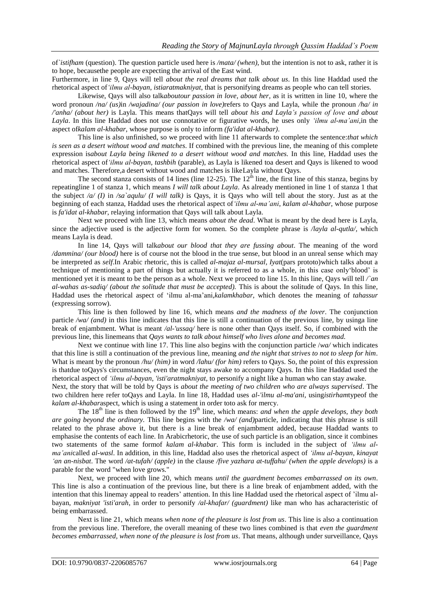of*`istifham* (question). The question particle used here is */mata/ (when)*, but the intention is not to ask, rather it is to hope, becausethe people are expecting the arrival of the East wind.

Furthermore, in line 9, Qays will tell *about the real dreams that talk about us*. In this line Haddad used the rhetorical aspect of*'ilmu al-bayan*, *istiaratmakniyat*, that is personifying dreams as people who can tell stories.

Likewise, Qays will also talk*aboutour passion in love, about her*, as it is written in line 10, where the word pronoun */na/ (us)*in */wajadina/ (our passion in love)*refers to Qays and Layla, while the pronoun */ha/ in /'anha/ (about her)* is Layla. This means thatQays will tell *about his and Layla's passion of love and about Layla*. In this line Haddad does not use connotative or figurative words, he uses only *'ilmu al-ma'ani*,in the aspect of*kalam al-khabar*, whose purpose is only to inform *(fa'idat al-khabar)*.

This line is also unfinished, so we proceed with line 11 afterwards to complete the sentence:*that which is seen as a desert without wood and matches*. If combined with the previous line, the meaning of this complete expression is*about Layla being likened to a desert without wood and matches.* In this line, Haddad uses the rhetorical aspect of*'ilmu al-bayan*, *tashbih* (parable), as Layla is likened toa desert and Qays is likened to wood and matches. Therefore,a desert without wood and matches is likeLayla without Qays.

The second stanza consists of 14 lines (line 12-25). The  $12<sup>th</sup>$  line, the first line of this stanza, begins by repeatingline 1 of stanza 1, which means *I will talk about Layla*. As already mentioned in line 1 of stanza 1 that the subject */a/ (I)* in */sa`aqulu/ (I will talk)* is Qays, it is Qays who will tell about the story. Just as at the beginning of each stanza, Haddad uses the rhetorical aspect of*'ilmu al-ma'ani*, *kalam al-khabar*, whose purpose is *fa'idat al-khabar*, relaying information that Qays will talk about Layla.

Next we proceed with line 13, which means *about the dead*. What is meant by the dead here is Layla, since the adjective used is the adjective form for women. So the complete phrase is */layla al-qutla/,* which means Layla is dead.

In line 14, Qays will talk*about our blood that they are fussing about*. The meaning of the word */dammina/ (our blood)* here is of course not the blood in the true sense, but blood in an unreal sense which may be interpreted as *self*.In Arabic rhetoric, this is called *al-majaz al-mursal, Iyat*(pars prototo)which talks about a technique of mentioning a part of things but actually it is referred to as a whole, in this case only'blood' is mentioned yet it is meant to be the person as a whole. Next we proceed to line 15. In this line, Qays will tell */`an al-wahas as-sadiq/ (about the solitude that must be accepted).* This is about the solitude of Qays. In this line, Haddad uses the rhetorical aspect of 'ilmu al-ma'ani,*kalamkhabar*, which denotes the meaning of *tahassur* (expressing sorrow).

This line is then followed by line 16, which means *and the madness of the lover*. The conjunction particle */wa/ (and)* in this line indicates that this line is still a continuation of the previous line, by usinga line break of enjambment. What is meant */al-'ussaq/* here is none other than Qays itself. So, if combined with the previous line, this linemeans that *Qays wants to talk about himself who lives alone and becomes mad.*

Next we continue with line 17. This line also begins with the conjunction particle /*wa/* which indicates that this line is still a continuation of the previous line, meaning *and the night that strives to not to sleep for him*. What is meant by the pronoun */hu/ (him)* in word */lahu/ (for him)* refers to Qays. So, the point of this expression is thatdue toQays's circumstances, even the night stays awake to accompany Qays. In this line Haddad used the rhetorical aspect of *'ilmu al-bayan*, *'isti'aratmakniyat*, to personify a night like a human who can stay awake.

Next, the story that will be told by Qays is *about the meeting of two children who are always supervised*. The two children here refer toQays and Layla. In line 18, Haddad uses *al-'ilmu al-ma'ani*, using*istirham*typeof the *kalam al-khabar*aspect, which is using a statement in order toto ask for mercy.

The 18<sup>th</sup> line is then followed by the 19<sup>th</sup> line, which means: *and when the apple develops, they both are going beyond the ordinary.* This line begins with the */wa/ (and)*particle, indicating that this phrase is still related to the phrase above it, but there is a line break of enjambment added, because Haddad wants to emphasise the contents of each line. In Arabicrhetoric, the use of such particle is an obligation, since it combines two statements of the same formof *kalam al-khabar*. This form is included in the subject of *'ilmu alma'ani*called *al-wasl*. In addition, in this line, Haddad also uses the rhetorical aspect of *'ilmu al-bayan*, *kinayat 'an an-nisbat*. The word */at-tufah/ (apple)* in the clause */five yazhara at-tuffahu/ (when the apple develops)* is a parable for the word "when love grows."

Next, we proceed with line 20, which means *until the guardment becomes embarrassed on its own*. This line is also a continuation of the previous line, but there is a line break of enjambment added, with the intention that this linemay appeal to readers' attention. In this line Haddad used the rhetorical aspect of 'ilmu albayan, *makniyat 'isti'arah*, in order to personify */al-khafar/ (guardment)* like man who has acharacteristic of being embarrassed.

Next is line 21, which means *when none of the pleasure is lost from us*. This line is also a continuation from the previous line. Therefore, the overall meaning of these two lines combined is that *even the guardment becomes embarrassed, when none of the pleasure is lost from us*. That means, although under surveillance, Qays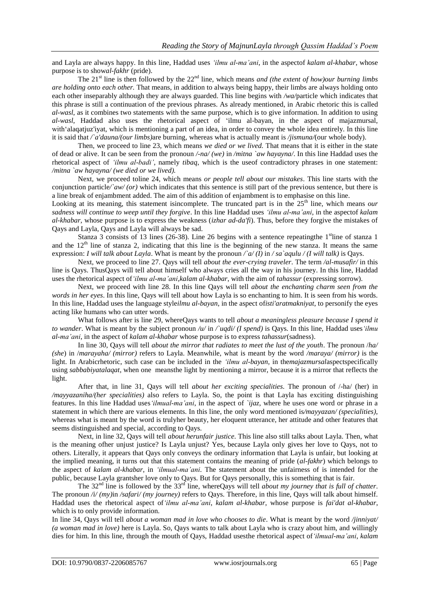and Layla are always happy. In this line, Haddad uses *'ilmu al-ma'ani*, in the aspectof *kalam al-khabar*, whose purpose is to show*al-fakhr* (pride).

The 21<sup>st</sup> line is then followed by the  $22<sup>nd</sup>$  line, which means *and (the extent of how)our burning limbs are holding onto each other.* That means, in addition to always being happy, their limbs are always holding onto each other inseparably although they are always guarded. This line begins with */wa/*particle which indicates that this phrase is still a continuation of the previous phrases. As already mentioned, in Arabic rhetoric this is called *al-wasl*, as it combines two statements with the same purpose, which is to give information. In addition to using *al-wasl*, Haddad also uses the rhetorical aspect of 'ilmu al-bayan, in the aspect of majazmursal, with'alaqatjuz'iyat, which is mentioning a part of an idea, in order to convey the whole idea entirely. In this line it is said that */`a'dauna/(our limbs)*are burning*,* whereas what is actually meant is */jismuna/*(our whole body).

Then, we proceed to line 23, which means *we died or we lived.* That means that it is either in the state of dead or alive. It can be seen from the pronoun */-na/ (we)* in */mitna `aw hayayna/*. In this line Haddad uses the rhetorical aspect of *'ilmu al-badi'*, namely *tibaq*, which is the useof contradictory phrases in one statement: */mitna `aw hayayna/ (we died or we lived).*

Next, we proceed toline 24, which means *or people tell about our mistakes*. This line starts with the conjunction particle*/`aw/ (or)* which indicates that this sentence is still part of the previous sentence, but there is a line break of enjambment added. The aim of this addition of enjambment is to emphasise on this line.

Looking at its meaning, this statement isincomplete. The truncated part is in the 25<sup>th</sup> line, which means *our sadness will continue to weep until they forgive*. In this line Haddad uses *'ilmu al-ma'ani*, in the aspectof *kalam al-khabar*, whose purpose is to express the weakness (*izhar ad-da'fi*). Thus, before they forgive the mistakes of Qays and Layla, Qays and Layla will always be sad.

Stanza 3 consists of 13 lines (26-38). Line 26 begins with a sentence repeating the 1<sup>st</sup>line of stanza 1 and the  $12<sup>th</sup>$  line of stanza 2, indicating that this line is the beginning of the new stanza. It means the same expression: *I will talk about Layla*. What is meant by the pronoun */`a/ (I)* in */ sa`aqulu / (I will talk)* is Qays.

Next, we proceed to line 27. Qays will tell *about the ever-crying traveler*. The term */al-musafir/* in this line is Qays. ThusQays will tell about himself who always cries all the way in his journey. In this line, Haddad uses the rhetorical aspect of*'ilmu al-ma'ani,kalam al-khabar*, with the aim of *tahassur* (expressing sorrow).

Next, we proceed with line 28. In this line Qays will tell *about the enchanting charm seen from the words in her eyes*. In this line, Qays will tell about how Layla is so enchanting to him. It is seen from his words. In this line, Haddad uses the language style*ilmu al-bayan*, in the aspect of*isti'aratmakniyat*, to personify the eyes acting like humans who can utter words.

What follows after is line 29, whereQays wants to tell *about a meaningless pleasure because I spend it to wander*. What is meant by the subject pronoun / $u$ / in  $\wedge u$  is Oguend) is Oguensian this line, Haddad uses 'ilmu *al-ma'ani*, in the aspect of *kalam al-khabar* whose purpose is to express *tahassur*(sadness).

In line 30, Qays will tell *about the mirror that radiates to meet the lust of the youth*. The pronoun /*ha*/ *(she*) in /*marayaha/ (mirror)* refers to Layla. Meanwhile, what is meant by the word */maraya/ (mirror)* is the light. In Arabicrhetoric, such case can be included in the *'ilmu al-bayan,* in the*majazmursal*aspectspecifically using *sabbabiyatalaqat*, when one meansthe light by mentioning a mirror, because it is a mirror that reflects the light.

After that, in line 31, Qays will tell *about her exciting specialities*. The pronoun of /-ha/ (her) in */mayyazaniha/(her specialities)* also refers to Layla. So, the point is that Layla has exciting distinguishing features. In this line Haddad uses*'ilmual-ma'ani*, in the aspect of *`ijaz*, where he uses one word or phrase in a statement in which there are various elements. In this line, the only word mentioned is*/mayyazan/ (specialities)*, whereas what is meant by the word is trulyher beauty, her eloquent utterance, her attitude and other features that seems distinguished and special, according to Qays.

Next, in line 32, Qays will tell *about herunfair justice*. This line also still talks about Layla. Then, what is the meaning ofher unjust justice? Is Layla unjust? Yes, because Layla only gives her love to Qays, not to others. Literally, it appears that Qays only conveys the ordinary information that Layla is unfair, but looking at the implied meaning, it turns out that this statement contains the meaning of pride (*al-fakhr*) which belongs to the aspect of *kalam al-khabar*, in *'ilmual-ma'ani*. The statement about the unfairness of is intended for the public, because Layla grantsher love only to Qays. But for Qays personally, this is something that is fair.

The 32nd line is followed by the 33rd line, whereQays will tell *about my journey that is full of chatter*. The pronoun */i/ (my)*in */safari/ (my journey)* refers to Qays. Therefore, in this line, Qays will talk about himself. Haddad uses the rhetorical aspect of*'ilmu al-ma'ani*, *kalam al-khabar*, whose purpose is *fai'dat al-khabar*, which is to only provide information.

In line 34, Qays will tell *about a woman mad in love who chooses to die*. What is meant by the word */jinniyat/ (a woman mad in love)* here is Layla. So, Qays wants to talk about Layla who is crazy about him, and willingly dies for him. In this line, through the mouth of Qays, Haddad usesthe rhetorical aspect of*'ilmual-ma'ani*, *kalam*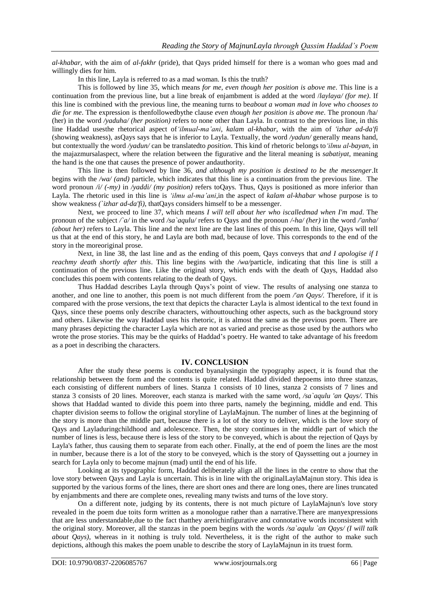*al-khabar*, with the aim of *al-fakhr* (pride), that Qays prided himself for there is a woman who goes mad and willingly dies for him.

In this line, Layla is referred to as a mad woman. Is this the truth?

This is followed by line 35, which means *for me, even though her position is above me*. This line is a continuation from the previous line, but a line break of enjambment is added at the word /*laylaya/ (for me)*. If this line is combined with the previous line, the meaning turns to be*about a woman mad in love who chooses to die for me*. The expression is thenfollowedbythe clause *even though her position is above me*. The pronoun /ha/ (her) in the word */yaduha/ (her position)* refers to none other than Layla. In contrast to the previous line, in this line Haddad usesthe rhetorical aspect of*'ilmual-ma'ani*, *kalam al-khabar*, with the aim of *'izhar ad-da'fi* (showing weakness), asQays says that he is inferior to Layla. Textually, the word */yadun/* generally means hand, but contextually the word */yadun/* can be translatedto *position*. This kind of rhetoric belongs to*'ilmu al-bayan*, in the majazmursalaspect, where the relation between the figurative and the literal meaning is *sabatiyat*, meaning the hand is the one that causes the presence of power andauthority.

This line is then followed by line 36, *and although my position is destined to be the messenger*.It begins with the */wa/ (and)* particle, which indicates that this line is a continuation from the previous line. The word pronoun */i/ (-my)* in */yaddi/ (my position)* refers toQays. Thus, Qays is positioned as more inferior than Layla. The rhetoric used in this line is *'ilmu al-ma'ani,*in the aspect of *kalam al-khabar* whose purpose is to show weakness *(`izhar ad-da'fi)*, thatQays considers himself to be a messenger.

Next, we proceed to line 37, which means *I will tell about her who iscalledmad when I'm mad*. The pronoun of the subject */`a/* in the word */sa`aqulu/* refers to Qays and the pronoun */-ha/ (her)* in the word */'anha/ (about her)* refers to Layla. This line and the next line are the last lines of this poem. In this line, Qays will tell us that at the end of this story, he and Layla are both mad, because of love. This corresponds to the end of the story in the moreoriginal prose.

Next, in line 38, the last line and as the ending of this poem, Qays conveys that *and I apologise if I reachmy death shortly after this*. This line begins with the */wa/*particle, indicating that this line is still a continuation of the previous line. Like the original story, which ends with the death of Qays, Haddad also concludes this poem with contents relating to the death of Qays.

Thus Haddad describes Layla through Qays's point of view. The results of analysing one stanza to another, and one line to another, this poem is not much different from the poem */'an Qays/.* Therefore, if it is compared with the prose versions, the text that depicts the character Layla is almost identical to the text found in Qays, since these poems only describe characters, withouttouching other aspects, such as the background story and others. Likewise the way Haddad uses his rhetoric, it is almost the same as the previous poem. There are many phrases depicting the character Layla which are not as varied and precise as those used by the authors who wrote the prose stories. This may be the quirks of Haddad's poetry. He wanted to take advantage of his freedom as a poet in describing the characters.

#### **IV. CONCLUSION**

After the study these poems is conducted byanalysingin the typography aspect, it is found that the relationship between the form and the contents is quite related. Haddad divided thepoems into three stanzas, each consisting of different numbers of lines. Stanza 1 consists of 10 lines, stanza 2 consists of 7 lines and stanza 3 consists of 20 lines. Moreover, each stanza is marked with the same word, */sa`aqulu 'an Qays/.* This shows that Haddad wanted to divide this poem into three parts, namely the beginning, middle and end. This chapter division seems to follow the original storyline of LaylaMajnun. The number of lines at the beginning of the story is more than the middle part, because there is a lot of the story to deliver, which is the love story of Qays and Layladuringchildhood and adolescence. Then, the story continues in the middle part of which the number of lines is less, because there is less of the story to be conveyed, which is about the rejection of Qays by Layla's father, thus causing them to separate from each other. Finally, at the end of poem the lines are the most in number, because there is a lot of the story to be conveyed, which is the story of Qayssetting out a journey in search for Layla only to become majnun (mad) until the end of his life.

Looking at its typographic form, Haddad deliberately align all the lines in the centre to show that the love story between Qays and Layla is uncertain. This is in line with the originalLaylaMajnun story. This idea is supported by the various forms of the lines, there are short ones and there are long ones, there are lines truncated by enjambments and there are complete ones, revealing many twists and turns of the love story.

On a different note, judging by its contents, there is not much picture of LaylaMajnun's love story revealed in the poem due toits form written as a monologue rather than a narrative.There are manyexpressions that are less understandable,due to the fact thatthey arerichinfigurative and connotative words inconsistent with the original story. Moreover, all the stanzas in the poem begins with the words */sa`aqulu `an Qays/ (I will talk about Qays)*, whereas in it nothing is truly told. Nevertheless, it is the right of the author to make such depictions, although this makes the poem unable to describe the story of LaylaMajnun in its truest form.